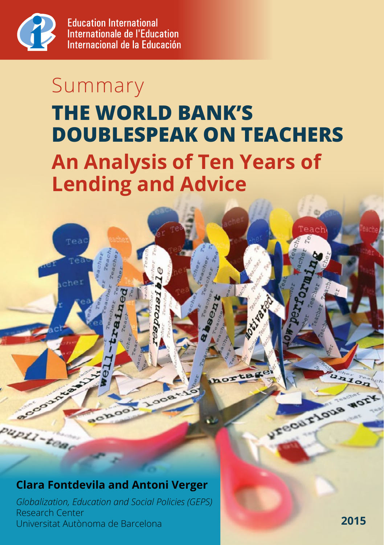

## **THE WORLD BANK'S DOUBLESPEAK ON TEACHERS An Analysis of Ten Years of Lending and Advice** Summary

# $h(e)$ AAJOR V.Fecur Flous Work choo up11-tea

#### **Clara Fontdevila and Antoni Verger**

*Globalization, Education and Social Policies (GEPS)*  Research Center Universitat Autònoma de Barcelona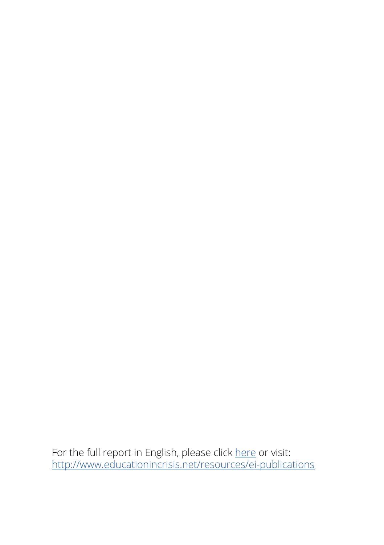For the full report in English, please click <u>here</u> or visit: <http://www.educationincrisis.net/resources/ei-publications>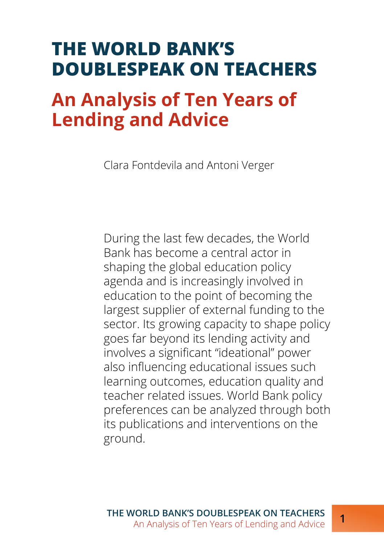### **THE WORLD BANK'S DOUBLESPEAK ON TEACHERS**

## **An Analysis of Ten Years of Lending and Advice**

Clara Fontdevila and Antoni Verger

During the last few decades, the World Bank has become a central actor in shaping the global education policy agenda and is increasingly involved in education to the point of becoming the largest supplier of external funding to the sector. Its growing capacity to shape policy goes far beyond its lending activity and involves a significant "ideational" power also influencing educational issues such learning outcomes, education quality and teacher related issues. World Bank policy preferences can be analyzed through both its publications and interventions on the ground.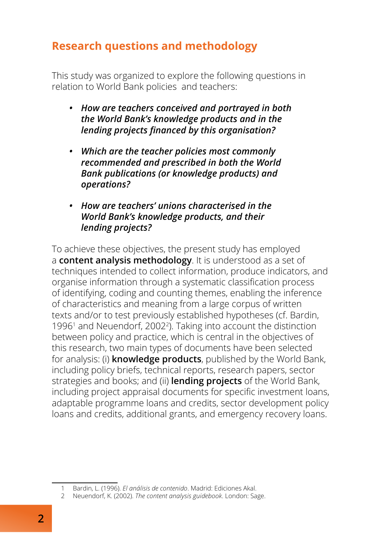#### **Research questions and methodology**

This study was organized to explore the following questions in relation to World Bank policies and teachers:

- *• How are teachers conceived and portrayed in both the World Bank's knowledge products and in the lending projects financed by this organisation?*
- *• Which are the teacher policies most commonly recommended and prescribed in both the World Bank publications (or knowledge products) and operations?*
- *• How are teachers' unions characterised in the World Bank's knowledge products, and their lending projects?*

To achieve these objectives, the present study has employed a **content analysis methodology**. It is understood as a set of techniques intended to collect information, produce indicators, and organise information through a systematic classification process of identifying, coding and counting themes, enabling the inference of characteristics and meaning from a large corpus of written texts and/or to test previously established hypotheses (cf. Bardin, 1996<sup>1</sup> and Neuendorf, 2002<sup>2</sup>). Taking into account the distinction between policy and practice, which is central in the objectives of this research, two main types of documents have been selected for analysis: (i) **knowledge products**, published by the World Bank, including policy briefs, technical reports, research papers, sector strategies and books; and (ii) **lending projects** of the World Bank, including project appraisal documents for specific investment loans, adaptable programme loans and credits, sector development policy loans and credits, additional grants, and emergency recovery loans.

<sup>1</sup> Bardin, L. (1996). *El análisis de contenido*. Madrid: Ediciones Akal.

<sup>2</sup> Neuendorf, K. (2002). *The content analysis guidebook*. London: Sage.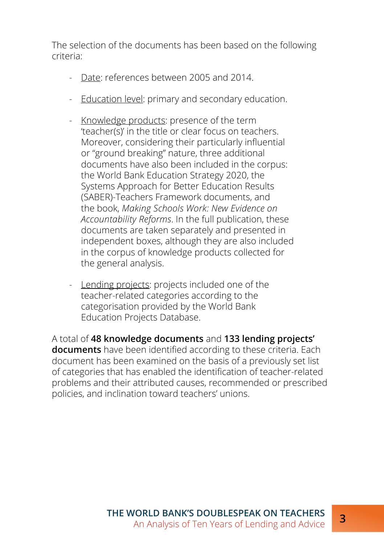The selection of the documents has been based on the following criteria:

- Date: references between 2005 and 2014.
- Education level: primary and secondary education.
- Knowledge products: presence of the term 'teacher(s)' in the title or clear focus on teachers. Moreover, considering their particularly influential or "ground breaking" nature, three additional documents have also been included in the corpus: the World Bank Education Strategy 2020, the Systems Approach for Better Education Results (SABER)-Teachers Framework documents, and the book, *Making Schools Work: New Evidence on Accountability Reforms*. In the full publication, these documents are taken separately and presented in independent boxes, although they are also included in the corpus of knowledge products collected for the general analysis.
- Lending projects: projects included one of the teacher-related categories according to the categorisation provided by the World Bank Education Projects Database.

A total of **48 knowledge documents** and **133 lending projects' documents** have been identified according to these criteria. Each document has been examined on the basis of a previously set list of categories that has enabled the identification of teacher-related problems and their attributed causes, recommended or prescribed policies, and inclination toward teachers' unions.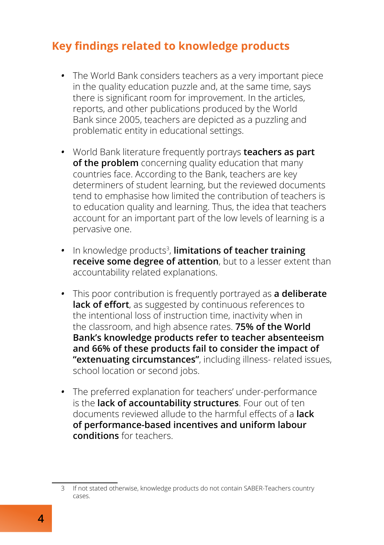#### **Key findings related to knowledge products**

- *•* The World Bank considers teachers as a very important piece in the quality education puzzle and, at the same time, says there is significant room for improvement. In the articles, reports, and other publications produced by the World Bank since 2005, teachers are depicted as a puzzling and problematic entity in educational settings.
- *•* World Bank literature frequently portrays **teachers as part of the problem** concerning quality education that many countries face. According to the Bank, teachers are key determiners of student learning, but the reviewed documents tend to emphasise how limited the contribution of teachers is to education quality and learning. Thus, the idea that teachers account for an important part of the low levels of learning is a pervasive one.
- In knowledge products<sup>3</sup>, **limitations of teacher training receive some degree of attention**, but to a lesser extent than accountability related explanations.
- *•* This poor contribution is frequently portrayed as **a deliberate**  lack of effort, as suggested by continuous references to the intentional loss of instruction time, inactivity when in the classroom, and high absence rates. **75% of the World Bank's knowledge products refer to teacher absenteeism and 66% of these products fail to consider the impact of "extenuating circumstances"**, including illness- related issues, school location or second jobs.
- *•* The preferred explanation for teachers' under-performance is the **lack of accountability structures**. Four out of ten documents reviewed allude to the harmful effects of a **lack of performance-based incentives and uniform labour conditions** for teachers.

<sup>3</sup> If not stated otherwise, knowledge products do not contain SABER-Teachers country cases.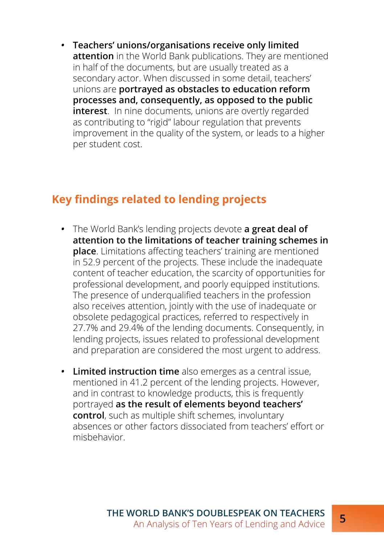*•* **Teachers' unions/organisations receive only limited attention** in the World Bank publications. They are mentioned in half of the documents, but are usually treated as a secondary actor. When discussed in some detail, teachers' unions are **portrayed as obstacles to education reform processes and, consequently, as opposed to the public interest**. In nine documents, unions are overtly regarded as contributing to "rigid" labour regulation that prevents improvement in the quality of the system, or leads to a higher per student cost.

#### **Key findings related to lending projects**

- *•* The World Bank's lending projects devote **a great deal of attention to the limitations of teacher training schemes in place**. Limitations affecting teachers' training are mentioned in 52.9 percent of the projects. These include the inadequate content of teacher education, the scarcity of opportunities for professional development, and poorly equipped institutions. The presence of underqualified teachers in the profession also receives attention, jointly with the use of inadequate or obsolete pedagogical practices, referred to respectively in 27.7% and 29.4% of the lending documents. Consequently, in lending projects, issues related to professional development and preparation are considered the most urgent to address.
- *•* **Limited instruction time** also emerges as a central issue, mentioned in 41.2 percent of the lending projects. However, and in contrast to knowledge products, this is frequently portrayed **as the result of elements beyond teachers' control**, such as multiple shift schemes, involuntary absences or other factors dissociated from teachers' effort or misbehavior.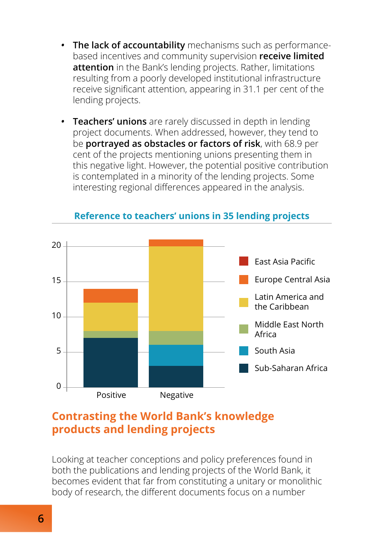- *•* **The lack of accountability** mechanisms such as performancebased incentives and community supervision **receive limited attention** in the Bank's lending projects. Rather, limitations resulting from a poorly developed institutional infrastructure receive significant attention, appearing in 31.1 per cent of the lending projects.
- *•* **Teachers' unions** are rarely discussed in depth in lending project documents. When addressed, however, they tend to be **portrayed as obstacles or factors of risk**, with 68.9 per cent of the projects mentioning unions presenting them in this negative light. However, the potential positive contribution is contemplated in a minority of the lending projects. Some interesting regional differences appeared in the analysis.



#### **Reference to teachers' unions in 35 lending projects**

#### **Contrasting the World Bank's knowledge products and lending projects**

Looking at teacher conceptions and policy preferences found in both the publications and lending projects of the World Bank, it becomes evident that far from constituting a unitary or monolithic body of research, the different documents focus on a number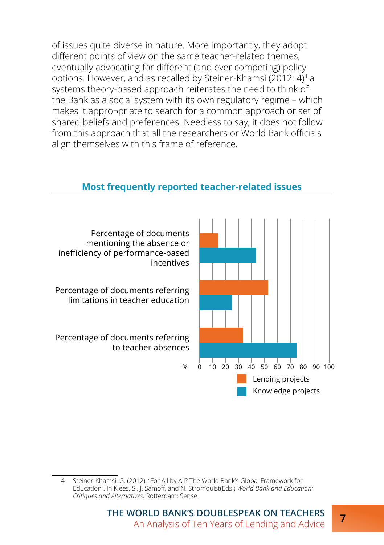of issues quite diverse in nature. More importantly, they adopt different points of view on the same teacher-related themes, eventually advocating for different (and ever competing) policy options. However, and as recalled by Steiner-Khamsi (2012: 4)4 a systems theory-based approach reiterates the need to think of the Bank as a social system with its own regulatory regime – which makes it appro¬priate to search for a common approach or set of shared beliefs and preferences. Needless to say, it does not follow from this approach that all the researchers or World Bank officials align themselves with this frame of reference.



#### **Most frequently reported teacher-related issues**

<sup>4</sup> Steiner-Khamsi, G. (2012). "For All by All? The World Bank's Global Framework for Education". In Klees, S., J. Samoff, and N. Stromquist(Eds.) *World Bank and Education: Critiques and Alternatives*. Rotterdam: Sense.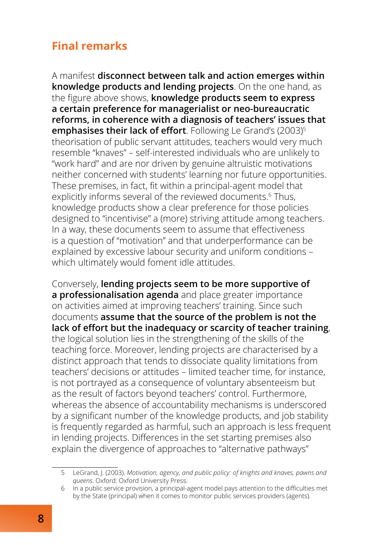#### **Final remarks**

A manifest **disconnect between talk and action emerges within knowledge products and lending projects**. On the one hand, as the figure above shows, **knowledge products seem to express a certain preference for managerialist or neo-bureaucratic reforms, in coherence with a diagnosis of teachers' issues that emphasises their lack of effort**. Following Le Grand's (2003)<sup>5</sup> theorisation of public servant attitudes, teachers would very much resemble "knaves" – self-interested individuals who are unlikely to "work hard" and are nor driven by genuine altruistic motivations neither concerned with students' learning nor future opportunities. These premises, in fact, fit within a principal-agent model that explicitly informs several of the reviewed documents.<sup>6</sup> Thus, knowledge products show a clear preference for those policies designed to "incentivise" a (more) striving attitude among teachers. In a way, these documents seem to assume that effectiveness is a question of "motivation" and that underperformance can be explained by excessive labour security and uniform conditions – which ultimately would foment idle attitudes.

Conversely, **lending projects seem to be more supportive of a professionalisation agenda** and place greater importance on activities aimed at improving teachers' training. Since such documents **assume that the source of the problem is not the lack of effort but the inadequacy or scarcity of teacher training**, the logical solution lies in the strengthening of the skills of the teaching force. Moreover, lending projects are characterised by a distinct approach that tends to dissociate quality limitations from teachers' decisions or attitudes – limited teacher time, for instance, is not portrayed as a consequence of voluntary absenteeism but as the result of factors beyond teachers' control. Furthermore, whereas the absence of accountability mechanisms is underscored by a significant number of the knowledge products, and job stability is frequently regarded as harmful, such an approach is less frequent in lending projects. Differences in the set starting premises also explain the divergence of approaches to "alternative pathways"

<sup>5</sup> LeGrand, J. (2003). *Motivation, agency, and public policy: of knights and knaves, pawns and queens*. Oxford: Oxford University Press.

<sup>6</sup> In a public service provision, a principal-agent model pays attention to the difficulties met by the State (principal) when it comes to monitor public services providers (agents).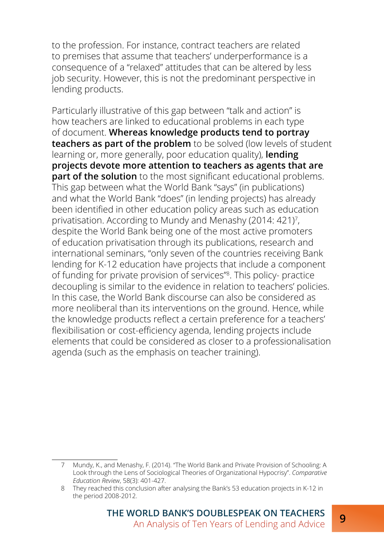to the profession. For instance, contract teachers are related to premises that assume that teachers' underperformance is a consequence of a "relaxed" attitudes that can be altered by less job security. However, this is not the predominant perspective in lending products.

Particularly illustrative of this gap between "talk and action" is how teachers are linked to educational problems in each type of document. **Whereas knowledge products tend to portray teachers as part of the problem** to be solved (low levels of student learning or, more generally, poor education quality), **lending projects devote more attention to teachers as agents that are part of the solution** to the most significant educational problems. This gap between what the World Bank "says" (in publications) and what the World Bank "does" (in lending projects) has already been identified in other education policy areas such as education privatisation. According to Mundy and Menashy (2014: 421)7 , despite the World Bank being one of the most active promoters of education privatisation through its publications, research and international seminars, "only seven of the countries receiving Bank lending for K-12 education have projects that include a component of funding for private provision of services"<sup>8</sup> . This policy- practice decoupling is similar to the evidence in relation to teachers' policies. In this case, the World Bank discourse can also be considered as more neoliberal than its interventions on the ground. Hence, while the knowledge products reflect a certain preference for a teachers' flexibilisation or cost-efficiency agenda, lending projects include elements that could be considered as closer to a professionalisation agenda (such as the emphasis on teacher training).

<sup>7</sup> Mundy, K., and Menashy, F. (2014). "The World Bank and Private Provision of Schooling: A Look through the Lens of Sociological Theories of Organizational Hypocrisy". *Comparative Education Review*, 58(3): 401-427.

<sup>8</sup> They reached this conclusion after analysing the Bank's 53 education projects in K-12 in the period 2008-2012.